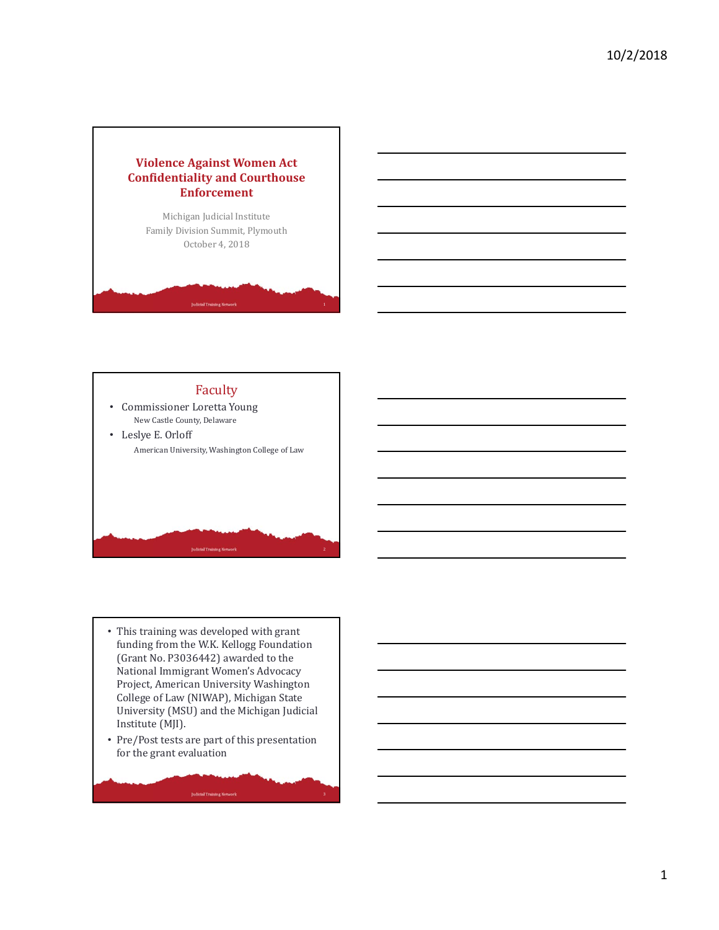



- This training was developed with grant funding from the W.K. Kellogg Foundation (Grant No. P3036442) awarded to the National Immigrant Women's Advocacy Project, American University Washington College of Law (NIWAP), Michigan State University (MSU) and the Michigan Judicial Institute (MJI).
- Pre/Post tests are part of this presentation for the grant evaluation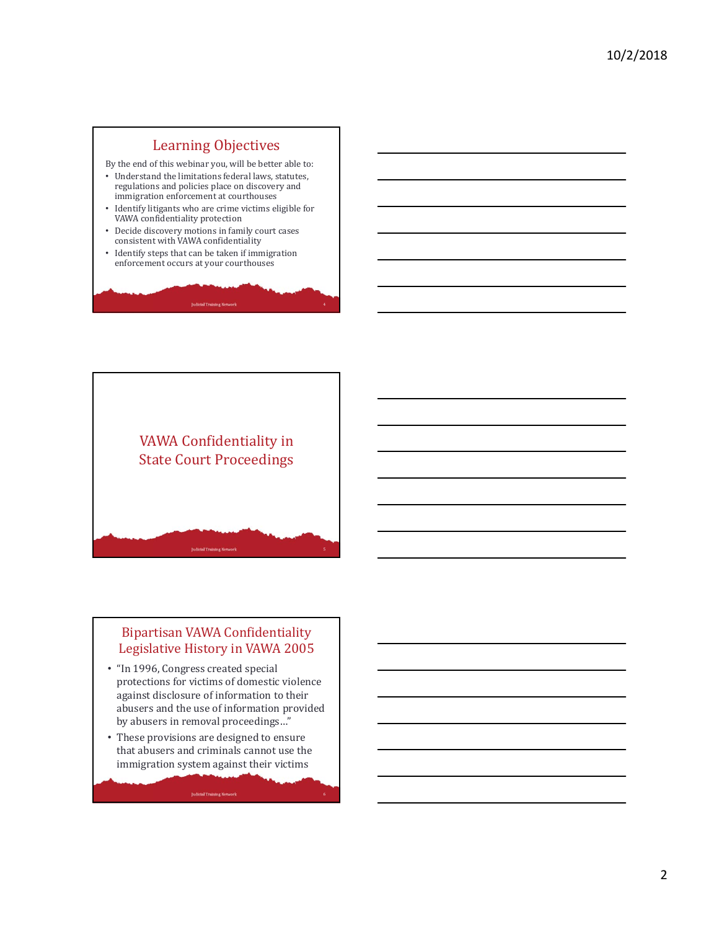# Learning Objectives

By the end of this webinar you, will be better able to:

- Understand the limitations federal laws, statutes, regulations and policies place on discovery and immigration enforcement at courthouses
- Identify litigants who are crime victims eligible for VAWA confidentiality protection
- Decide discovery motions in family court cases consistent with VAWA confidentiality
- Identify steps that can be taken if immigration enforcement occurs at your courthouses



#### Bipartisan VAWA Confidentiality Legislative History in VAWA 2005

- "In 1996, Congress created special protections for victims of domestic violence against disclosure of information to their abusers and the use of information provided by abusers in removal proceedings…"
- These provisions are designed to ensure that abusers and criminals cannot use the immigration system against their victims

**Judicial Training Network**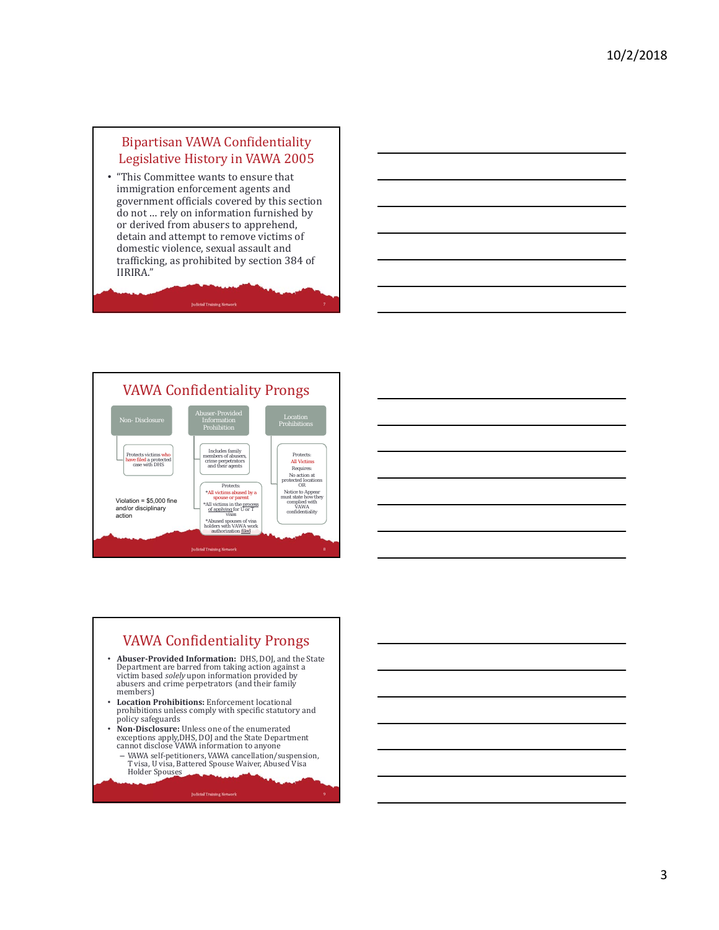#### Bipartisan VAWA Confidentiality Legislative History in VAWA 2005

• "This Committee wants to ensure that immigration enforcement agents and government officials covered by this section do not … rely on information furnished by or derived from abusers to apprehend, detain and attempt to remove victims of domestic violence, sexual assault and trafficking, as prohibited by section 384 of IIRIRA."





# VAWA Confidentiality Prongs

- **Abuser-Provided Information:** DHS, DOJ, and the State Department are barred from taking action against a victim based *solely* upon information provided by abusers and crime perpetrators (and their family members)
- **Location Prohibitions:** Enforcement locational prohibitions unless comply with specific statutory and policy safeguards
- **Non‐Disclosure:** Unless one of the enumerated exceptions apply,DHS, DOJ and the State Department cannot disclose VAWA information to anyone
	- VAWA self-petitioners, VAWA cancellation/suspension, T visa, U visa, Battered Spouse Waiver, Abused Visa Holder Spouses

**Judicial Training Network**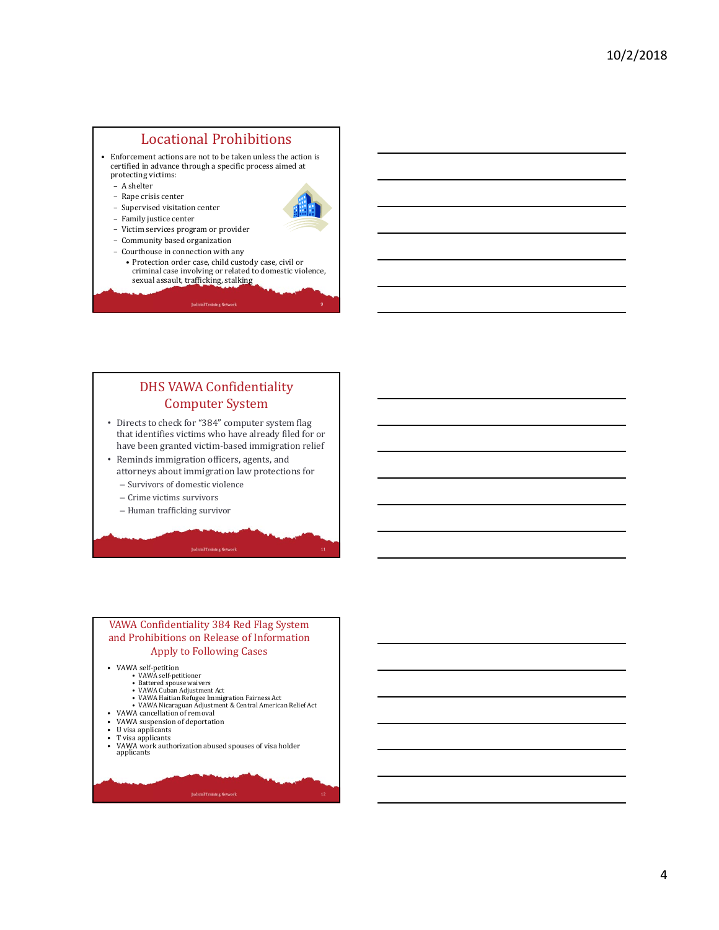#### Locational Prohibitions

- Enforcement actions are not to be taken unless the action is certified in advance through a specific process aimed at protecting victims:
	- A shelter
	- Rape crisis center
	- Supervised visitation center
	- Family justice center



- Victim services program or provider
- Community based organization
- Courthouse in connection with any
	- Protection order case, child custody case, civil or criminal case involving or related to domestic violence, sexual assault, trafficking, stalking

**Judicial Training Network** 

#### DHS VAWA Confidentiality Computer System

- Directs to check for "384" computer system flag that identifies victims who have already filed for or have been granted victim-based immigration relief
- Reminds immigration officers, agents, and
- attorneys about immigration law protections for – Survivors of domestic violence
- Crime victims survivors
- Human trafficking survivor

#### VAWA Confidentiality 384 Red Flag System and Prohibitions on Release of Information Apply to Following Cases

- VAWA self-petition VAWA self-petitioner
	-
	-
	- Battered spouse waivers VAWA Cuban Adjustment Act VAWA Haitian Refugee Immigration Fairness Act
- VAWA Nicaraguan Adjustment & Central American Relief Act VAWA cancellation of removal
- VAWA suspension of deportation
- U visa applicants
- T visa applicants<br>• VAWA work auth
- VAWA work authorization abused spouses of visa holder applicants

**Judicial Training Network**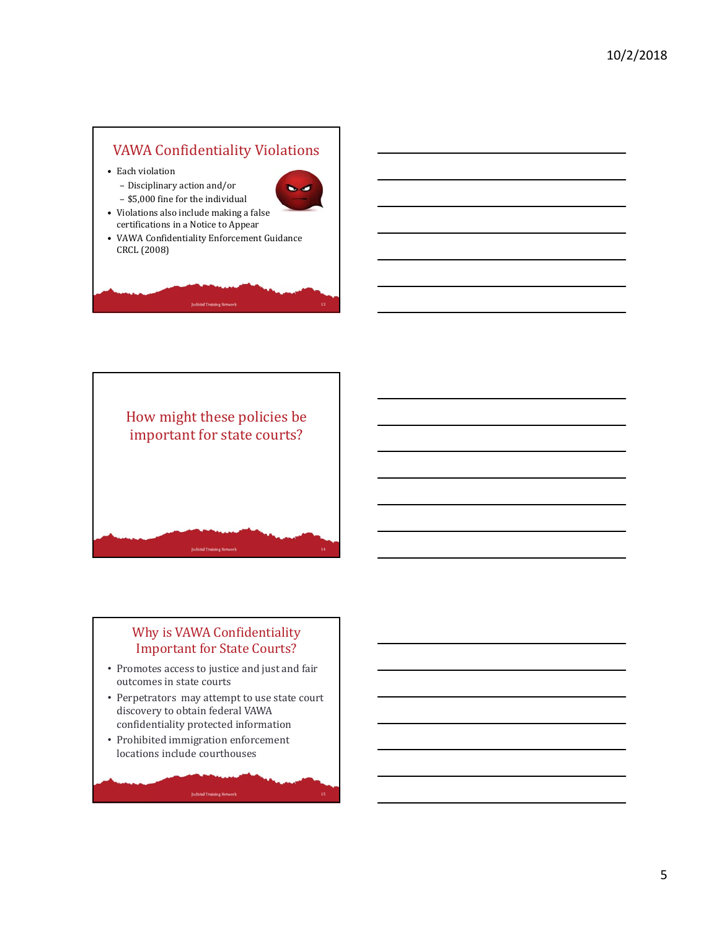# VAWA Confidentiality Violations

• Each violation



– \$5,000 fine for the individual • Violations also include making a false certifications in a Notice to Appear

– Disciplinary action and/or

• VAWA Confidentiality Enforcement Guidance CRCL (2008)



## Why is VAWA Confidentiality Important for State Courts?

- Promotes access to justice and just and fair outcomes in state courts
- Perpetrators may attempt to use state court discovery to obtain federal VAWA confidentiality protected information
- Prohibited immigration enforcement locations include courthouses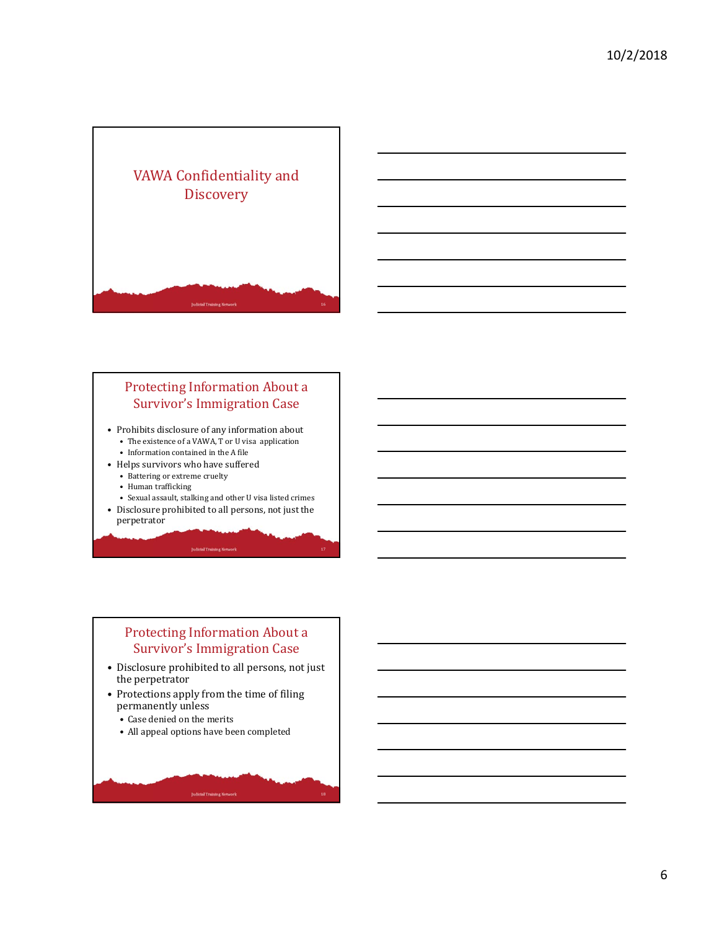

#### Protecting Information About a Survivor's Immigration Case

- Prohibits disclosure of any information about • The existence of a VAWA, T or U visa application
	- Information contained in the A file
- Helps survivors who have suffered
	- Battering or extreme cruelty
	- Human trafficking
	- Sexual assault, stalking and other U visa listed crimes
- Disclosure prohibited to all persons, not just the perpetrator

## Protecting Information About a Survivor's Immigration Case

- Disclosure prohibited to all persons, not just the perpetrator
- Protections apply from the time of filing permanently unless
	- Case denied on the merits
	- All appeal options have been completed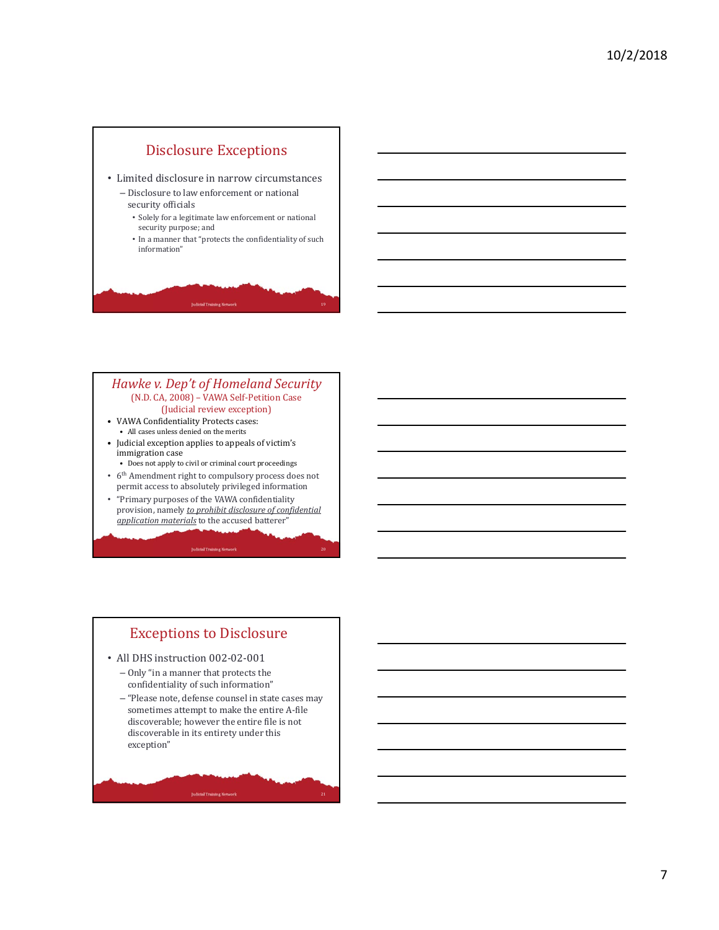

#### *Hawke v. Dep't of Homeland Security* (N.D. CA, 2008) – VAWA Self-Petition Case (Judicial review exception)

- VAWA Confidentiality Protects cases: • All cases unless denied on the merits
- Judicial exception applies to appeals of victim's immigration case
- Does not apply to civil or criminal court proceedings • 6th Amendment right to compulsory process does not
- permit access to absolutely privileged information
- "Primary purposes of the VAWA confidentiality provision, namely *to prohibit disclosure of confidential application materials* to the accused batterer"

# Exceptions to Disclosure

- All DHS instruction 002-02-001
	- Only "in a manner that protects the confidentiality of such information"
	- "Please note, defense counsel in state cases may sometimes attempt to make the entire A-file discoverable; however the entire file is not discoverable in its entirety under this exception"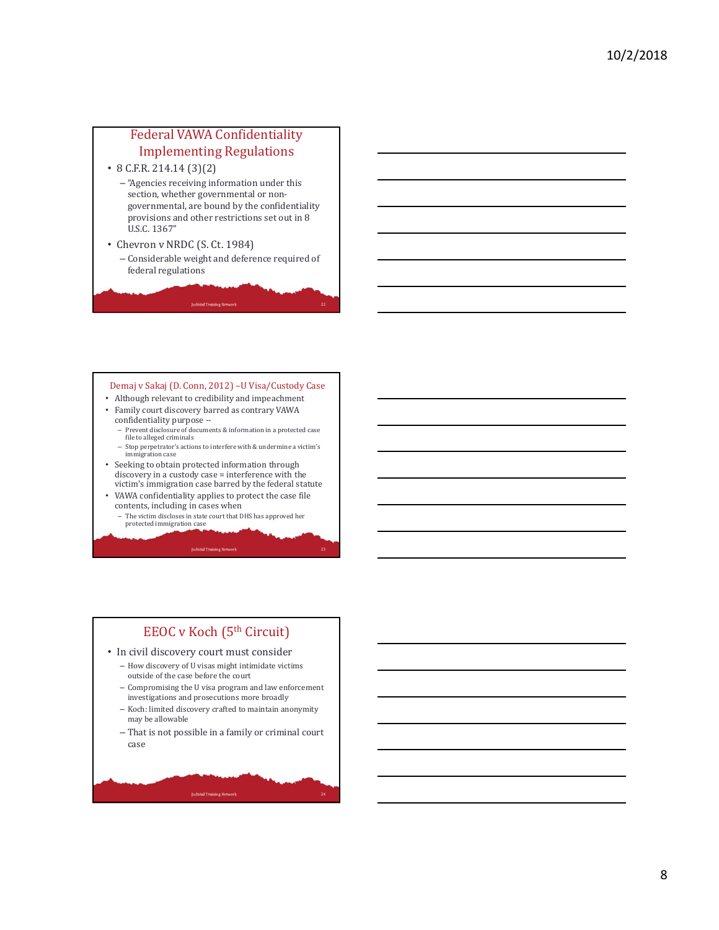## Federal VAWA Confidentiality Implementing Regulations

• 8 C.F.R. 214.14 (3)(2)

- "Agencies receiving information under this section, whether governmental or nongovernmental, are bound by the confidentiality provisions and other restrictions set out in 8 U.S.C. 1367"
- Chevron v NRDC (S. Ct. 1984)
	- Considerable weight and deference required of federal regulations

#### Demaj v Sakaj (D. Conn, 2012) –U Visa/Custody Case

- Although relevant to credibility and impeachment • Family court discovery barred as contrary VAWA
	- confidentiality purpose -- – Prevent disclosure of documents & information in a protected case file to alleged criminals
	- Stop perpetrator's actions to interfere with & undermine a victim's immigration case
- Seeking to obtain protected information through discovery in a custody case = interference with the victim's immigration case barred by the federal statute
- VAWA confidentiality applies to protect the case file contents, including in cases when
- The victim discloses in state court that DHS has approved her protected immigration case

#### **Judicial Training Netwo**

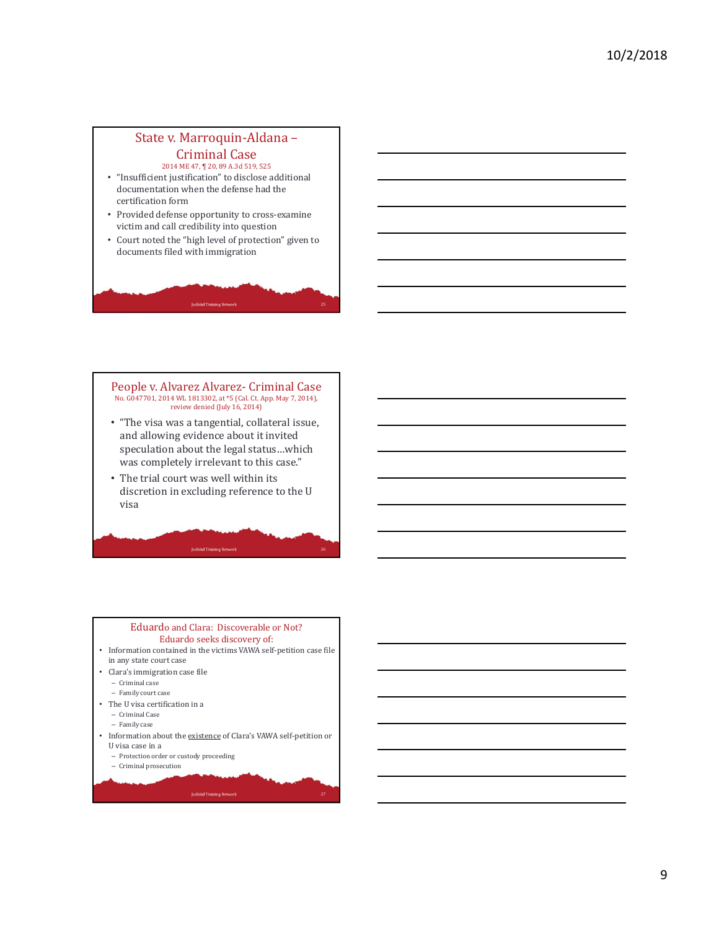#### State v. Marroquin-Aldana – Criminal Case

2014 ME 47, ¶ 20, 89 A.3d 519, 525

- "Insufficient justification" to disclose additional documentation when the defense had the certification form
- Provided defense opportunity to cross-examine victim and call credibility into question
- Court noted the "high level of protection" given to documents filed with immigration

#### People v. Alvarez Alvarez- Criminal Case No. G047701, 2014 WL 1813302, at \*5 (Cal. Ct. App. May 7, 2014), review denied (July 16, 2014)

- "The visa was a tangential, collateral issue, and allowing evidence about it invited speculation about the legal status…which was completely irrelevant to this case."
- The trial court was well within its discretion in excluding reference to the U visa

26

27

#### Eduardo and Clara: Discoverable or Not? Eduardo seeks discovery of: • Information contained in the victims VAWA self-petition case file in any state court case • Clara's immigration case file – Criminal case – Family court case • The U visa certification in a – Criminal Case – Family case • Information about the existence of Clara's VAWA self-petition or U visa case in a – Protection order or custody proceeding

- Criminal prosecution
-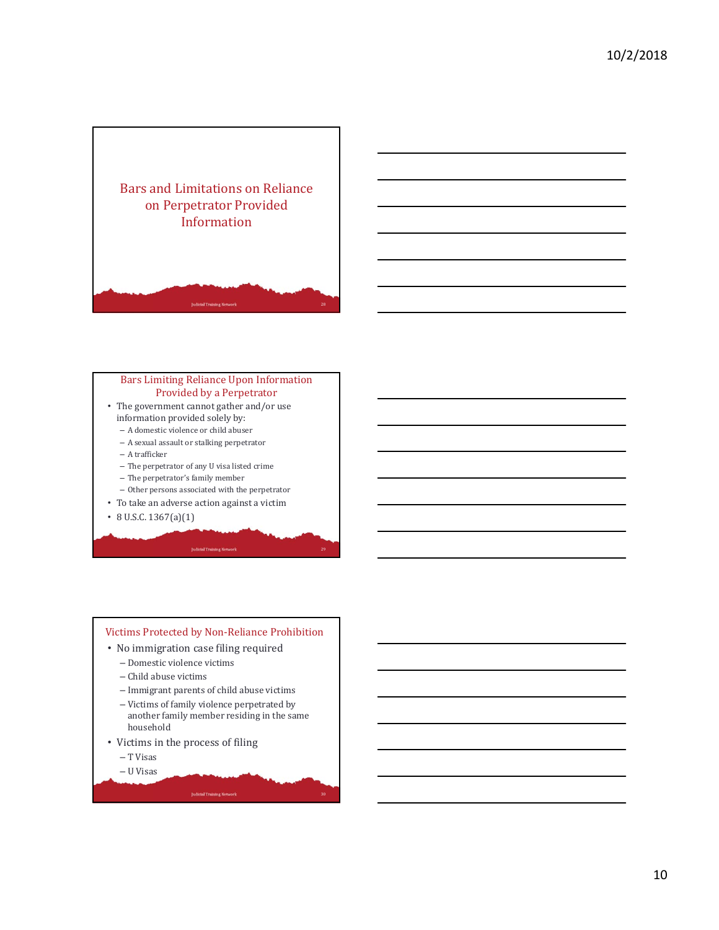

#### Bars Limiting Reliance Upon Information Provided by a Perpetrator

- The government cannot gather and/or use information provided solely by:
	- A domestic violence or child abuser
	- A sexual assault or stalking perpetrator
	- A trafficker
	- The perpetrator of any U visa listed crime
	- The perpetrator's family member
	- Other persons associated with the perpetrator
- To take an adverse action against a victim
- 8 U.S.C. 1367(a)(1)

#### Victims Protected by Non-Reliance Prohibition • No immigration case filing required – Domestic violence victims – Child abuse victims

- Immigrant parents of child abuse victims
- Victims of family violence perpetrated by another family member residing in the same household
- Victims in the process of filing
	- T Visas
	- U Visas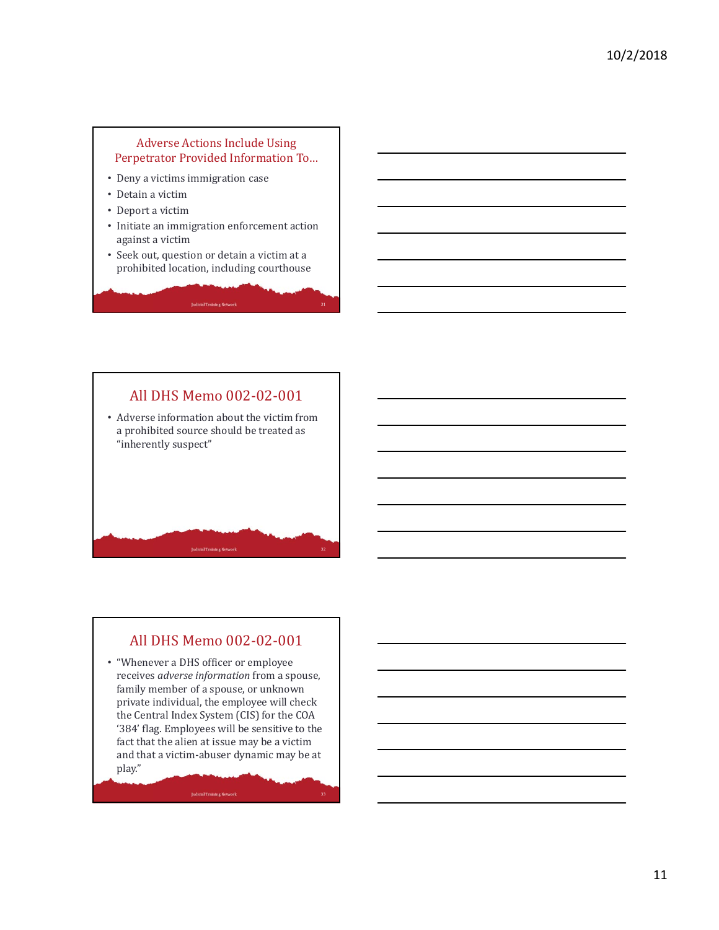#### Adverse Actions Include Using Perpetrator Provided Information To…

- Deny a victims immigration case
- Detain a victim
- Deport a victim
- Initiate an immigration enforcement action against a victim
- Seek out, question or detain a victim at a prohibited location, including courthouse

# All DHS Memo 002-02-001 • Adverse information about the victim from a prohibited source should be treated as "inherently suspect"

# All DHS Memo 002-02-001

• "Whenever a DHS officer or employee receives *adverse information* from a spouse, family member of a spouse, or unknown private individual, the employee will check the Central Index System (CIS) for the COA '384' flag. Employees will be sensitive to the fact that the alien at issue may be a victim and that a victim-abuser dynamic may be at play."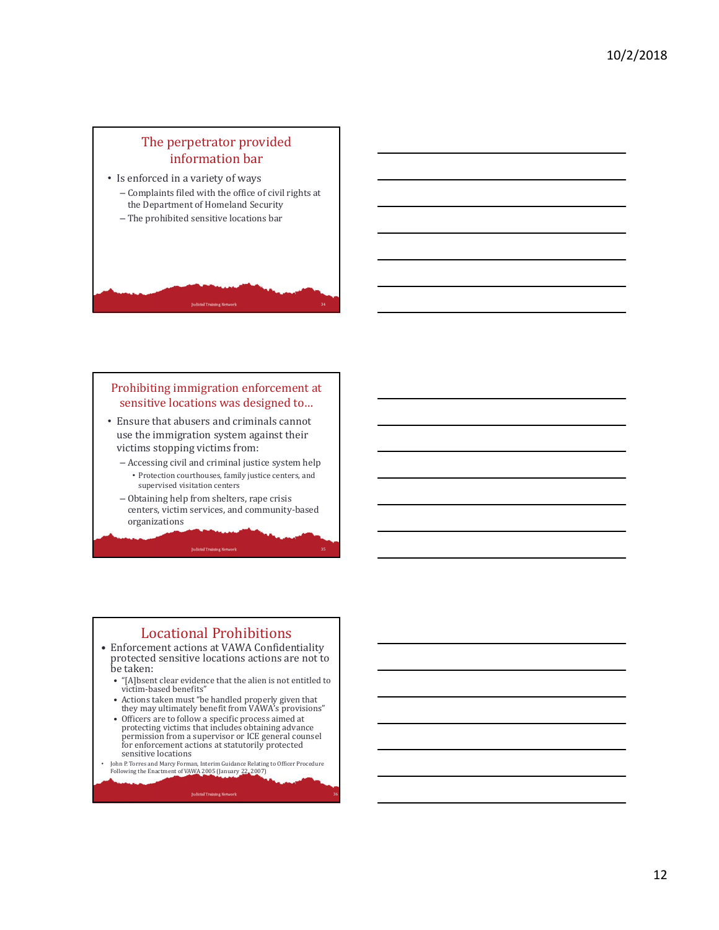## The perpetrator provided information bar

- Is enforced in a variety of ways
	- Complaints filed with the office of civil rights at the Department of Homeland Security
	- The prohibited sensitive locations bar

#### Prohibiting immigration enforcement at sensitive locations was designed to…

- Ensure that abusers and criminals cannot use the immigration system against their victims stopping victims from:
	- Accessing civil and criminal justice system help
	- Protection courthouses, family justice centers, and supervised visitation centers – Obtaining help from shelters, rape crisis
	- centers, victim services, and community-based organizations

**Judicial Training Network** 

## Locational Prohibitions

- Enforcement actions at VAWA Confidentiality protected sensitive locations actions are not to be taken:
	- "[A]bsent clear evidence that the alien is not entitled to victim-based benefits"
	- Actions taken must "be handled properly given that they may ultimately benefit from VAWA's provisions"
	- Officers are to follow a specific process aimed at protecting victims that includes obtaining advance permission from a supervisor or ICE general counsel for enforcement actions at statutorily protected sensitive locations
- John P. Torres and Marcy Forman, Interim Guidance Relating to Officer Procedure Following the Enactment of VAWA 2005 (January 22, 2007)

**Judicial Training Network**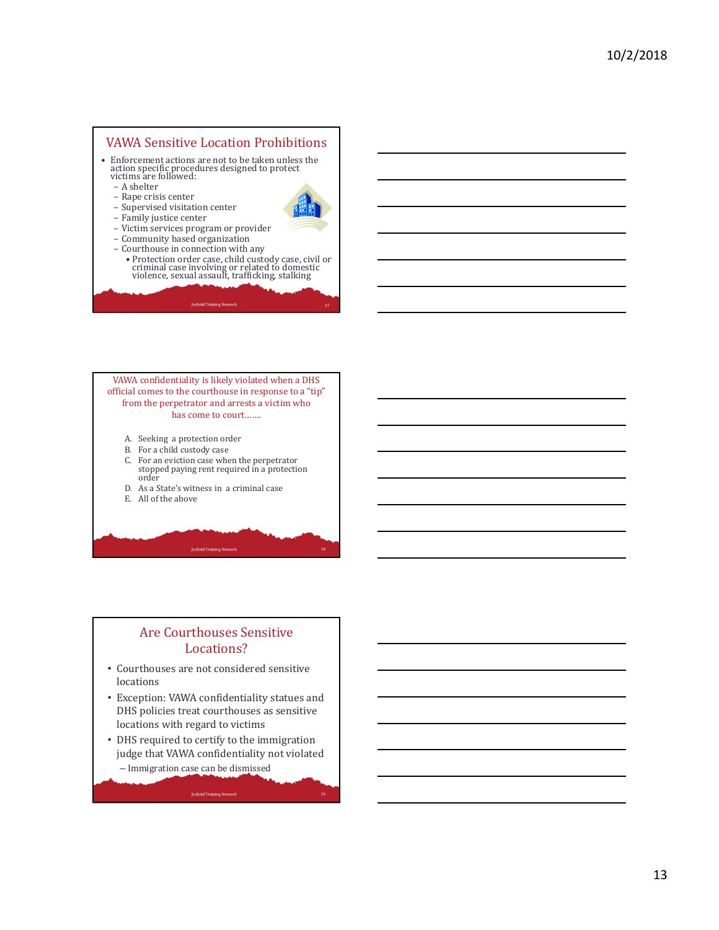#### VAWA Sensitive Location Prohibitions

- Enforcement actions are not to be taken unless the action specific procedures designed to protect victims are followed:
	- A shelter
	- Rape crisis center
	- Supervised visitation center – Family justice center



- Victim services program or provider – Community based organization
- Courthouse in connection with any
- Protection order case, child custody case, civil or criminal case involving or related to domestic violence, sexual assault, trafficking, stalking

VAWA confidentiality is likely violated when a DHS official comes to the courthouse in response to a "tip" from the perpetrator and arrests a victim who has come to court…….

- A. Seeking a protection order
- B. For a child custody case
- C. For an eviction case when the perpetrator stopped paying rent required in a protection order

**Judicial Training Network** 

- D. As a State's witness in a criminal case
- E. All of the above

#### Are Courthouses Sensitive Locations?

- Courthouses are not considered sensitive locations
- Exception: VAWA confidentiality statues and DHS policies treat courthouses as sensitive locations with regard to victims
- DHS required to certify to the immigration judge that VAWA confidentiality not violated – Immigration case can be dismissed

**Judicial Training Network**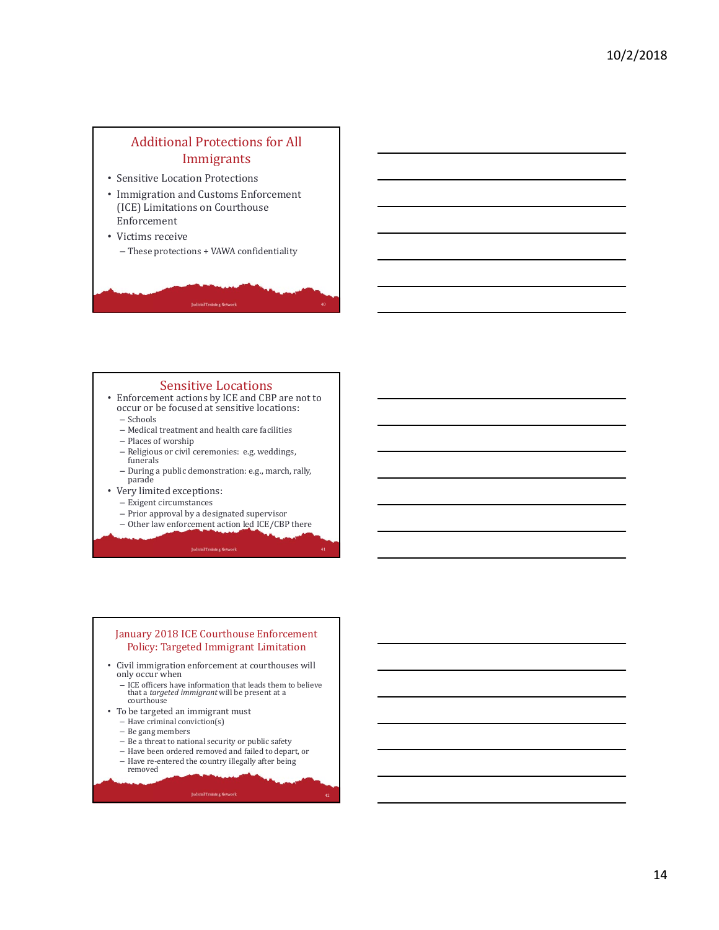# Additional Protections for All Immigrants

- Sensitive Location Protections
- Immigration and Customs Enforcement (ICE) Limitations on Courthouse Enforcement
- Victims receive – These protections + VAWA confidentiality

#### Sensitive Locations

- Enforcement actions by ICE and CBP are not to occur or be focused at sensitive locations: – Schools
	- Medical treatment and health care facilities
	- Places of worship
	- Religious or civil ceremonies: e.g. weddings, funerals
	- During a public demonstration: e.g., march, rally, parade
- Very limited exceptions: – Exigent circumstances
	- Prior approval by a designated supervisor
	- Other law enforcement action led ICE/CBP there

#### January 2018 ICE Courthouse Enforcement Policy: Targeted Immigrant Limitation

- Civil immigration enforcement at courthouses will only occur when
	- ICE officers have information that leads them to believe that a *targeted immigrant* will be present at a courthouse
- To be targeted an immigrant must
	- Have criminal conviction(s)
	- Be gang members
	- Be a threat to national security or public safety
	- Have been ordered removed and failed to depart, or
	- Have re-entered the country illegally after being removed

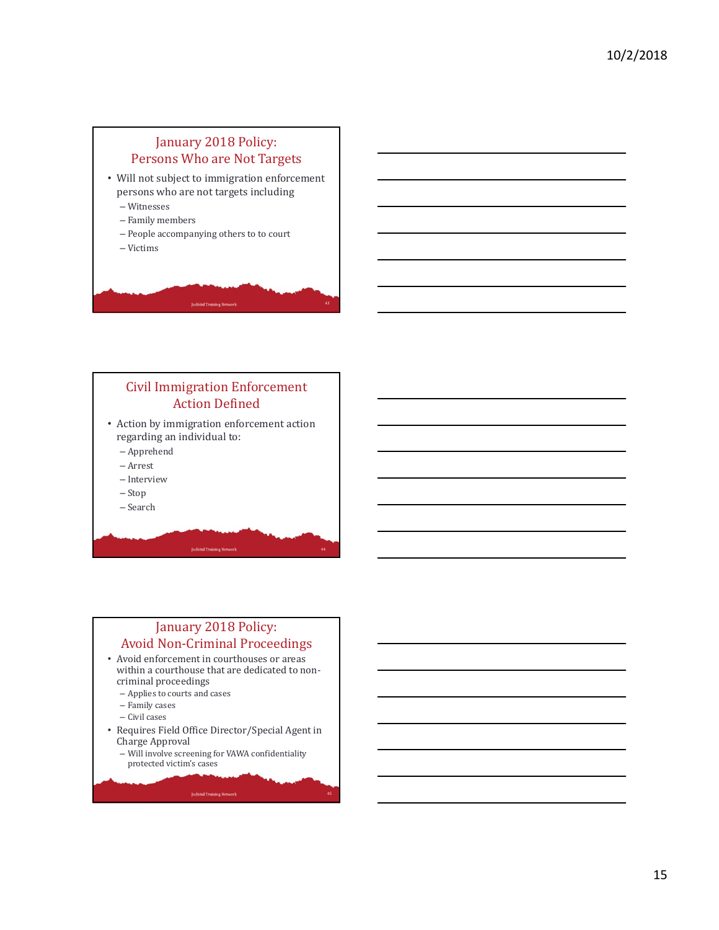

#### Civil Immigration Enforcement Action Defined

• Action by immigration enforcement action regarding an individual to:

- Apprehend
- Arrest
- Interview
- Stop
- Search

# January 2018 Policy: Avoid Non-Criminal Proceedings

- Avoid enforcement in courthouses or areas within a courthouse that are dedicated to noncriminal proceedings
	- Applies to courts and cases
	- Family cases
	- Civil cases
- Requires Field Office Director/Special Agent in Charge Approval
	- Will involve screening for VAWA confidentiality protected victim's cases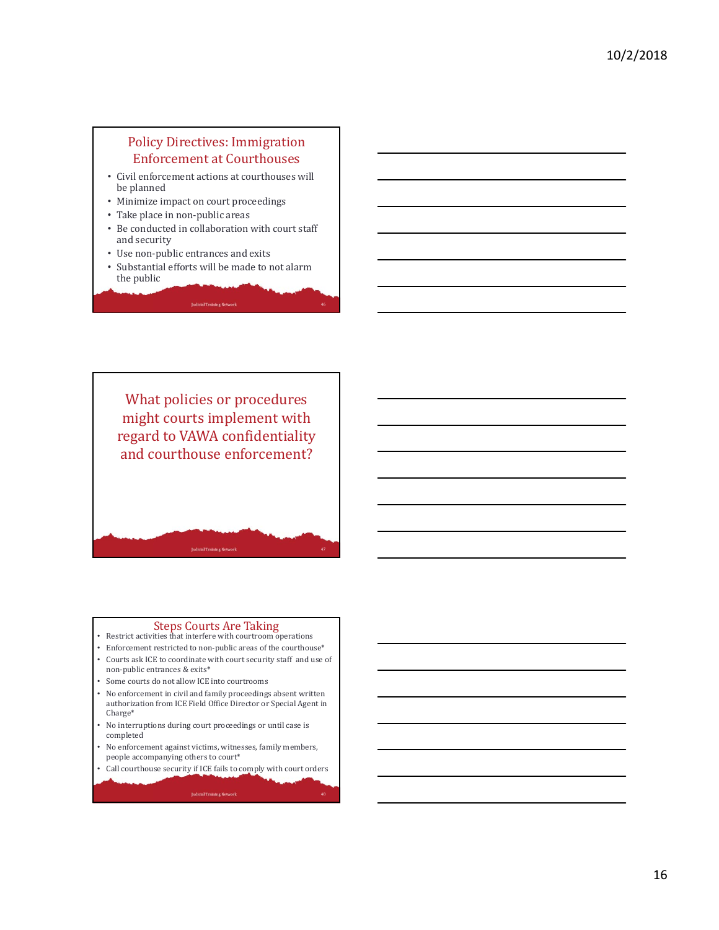#### Policy Directives: Immigration Enforcement at Courthouses

- Civil enforcement actions at courthouses will be planned
- Minimize impact on court proceedings
- Take place in non-public areas
- Be conducted in collaboration with court staff and security
- Use non-public entrances and exits
- Substantial efforts will be made to not alarm the public



# Steps Courts Are Taking<br>• Restrict activities that interfere with courtroom operations

- 
- Enforcement restricted to non-public areas of the courthouse\* • Courts ask ICE to coordinate with court security staff and use of
- non-public entrances & exits\*
- Some courts do not allow ICE into courtrooms
- No enforcement in civil and family proceedings absent written authorization from ICE Field Office Director or Special Agent in Charge\*
- No interruptions during court proceedings or until case is completed
- No enforcement against victims, witnesses, family members, people accompanying others to court\*
- Call courthouse security if ICE fails to comply with court orders